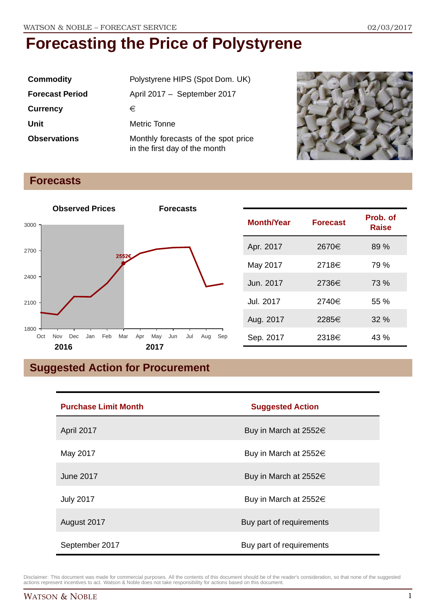| <b>Commodity</b>       | Polystyrene HIPS (Spot Dom. UK)                                      |  |
|------------------------|----------------------------------------------------------------------|--|
| <b>Forecast Period</b> | April 2017 - September 2017                                          |  |
| <b>Currency</b>        | €                                                                    |  |
| Unit                   | Metric Tonne                                                         |  |
| <b>Observations</b>    | Monthly forecasts of the spot price<br>in the first day of the month |  |



### **Forecasts**



| <b>Month/Year</b> | <b>Forecast</b> | Prob. of<br><b>Raise</b> |
|-------------------|-----------------|--------------------------|
| Apr. 2017         | 2670€           | 89 %                     |
| May 2017          | 2718€           | 79 %                     |
| Jun. 2017         | 2736€           | 73 %                     |
| Jul. 2017         | 2740€           | 55%                      |
| Aug. 2017         | 2285€           | 32%                      |
| Sep. 2017         | 2318€           | 43%                      |

## **Suggested Action for Procurement**

| <b>Purchase Limit Month</b> | <b>Suggested Action</b>    |
|-----------------------------|----------------------------|
| April 2017                  | Buy in March at $2552 \in$ |
| May 2017                    | Buy in March at $2552 \in$ |
| June 2017                   | Buy in March at $2552 \in$ |
| <b>July 2017</b>            | Buy in March at $2552 \in$ |
| August 2017                 | Buy part of requirements   |
| September 2017              | Buy part of requirements   |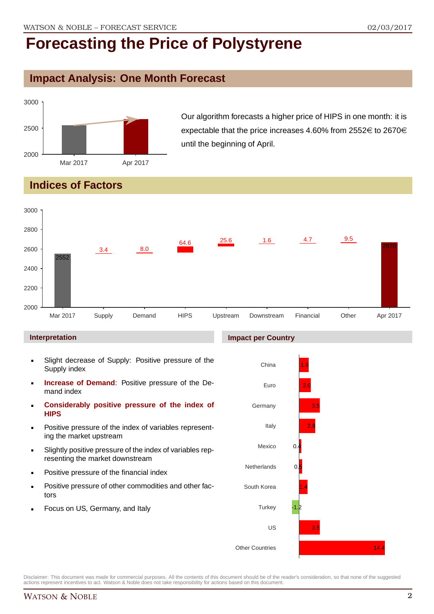### **Impact Analysis: One Month Forecast**



Our algorithm forecasts a higher price of HIPS in one month: it is expectable that the price increases 4.60% from 2552 $\in$  to 2670 $\in$ until the beginning of April.

## **Indices of Factors**



#### **Interpretation**

- Slight decrease of Supply: Positive pressure of the Supply index
- **Increase of Demand**: Positive pressure of the Demand index
- **Considerably positive pressure of the index of HIPS**
- Positive pressure of the index of variables representing the market upstream
- Slightly positive pressure of the index of variables representing the market downstream
- Positive pressure of the financial index
- Positive pressure of other commodities and other factors
- Focus on US, Germany, and Italy

#### **Impact per Country**

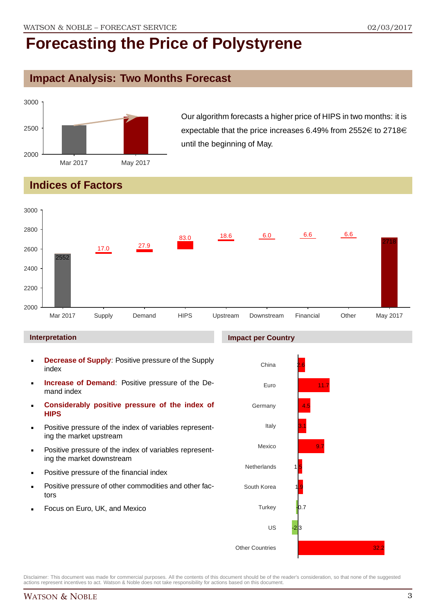## **Impact Analysis: Two Months Forecast**



Our algorithm forecasts a higher price of HIPS in two months: it is expectable that the price increases 6.49% from 2552 $\in$  to 2718 $\in$ until the beginning of May.

## **Indices of Factors**



#### **Interpretation**

- **Decrease of Supply**: Positive pressure of the Supply index
- **Increase of Demand**: Positive pressure of the Demand index
- **Considerably positive pressure of the index of HIPS**
- Positive pressure of the index of variables representing the market upstream
- Positive pressure of the index of variables representing the market downstream
- Positive pressure of the financial index
- Positive pressure of other commodities and other factors
- Focus on Euro, UK, and Mexico

#### **Impact per Country**

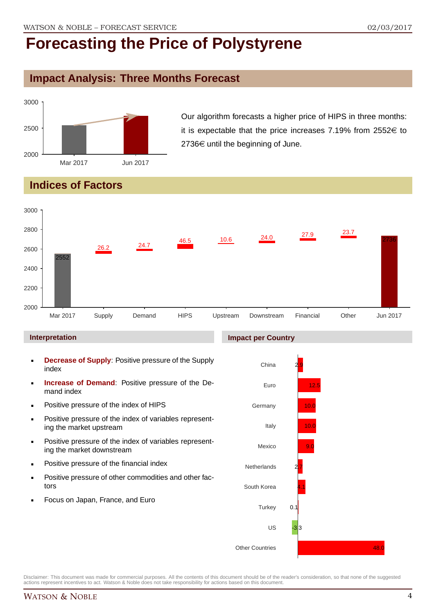## **Impact Analysis: Three Months Forecast**



Our algorithm forecasts a higher price of HIPS in three months: it is expectable that the price increases 7.19% from 2552 $\in$  to  $2736 \in \mathsf{until}$  the beginning of June.

## **Indices of Factors**



#### **Interpretation**

- **Decrease of Supply**: Positive pressure of the Supply index
- **Increase of Demand**: Positive pressure of the Demand index
- **Positive pressure of the index of HIPS**
- Positive pressure of the index of variables representing the market upstream
- **Positive pressure of the index of variables represent**ing the market downstream
- **•** Positive pressure of the financial index
- **Positive pressure of other commodities and other fac**tors
- Focus on Japan, France, and Euro

#### **Impact per Country**

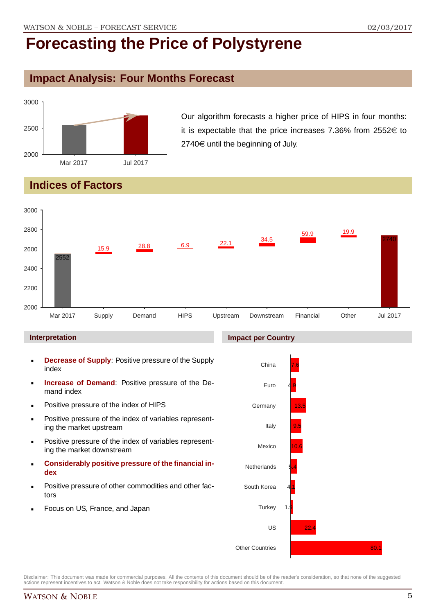### **Impact Analysis: Four Months Forecast**



Our algorithm forecasts a higher price of HIPS in four months: it is expectable that the price increases 7.36% from 2552 $\in$  to  $2740 \in \mathsf{until}$  the beginning of July.

## **Indices of Factors**



#### **Interpretation**

- **Decrease of Supply**: Positive pressure of the Supply index
- **Increase of Demand**: Positive pressure of the Demand index
- **Positive pressure of the index of HIPS**
- **Positive pressure of the index of variables represent**ing the market upstream
- **Positive pressure of the index of variables represent**ing the market downstream
- **Considerably positive pressure of the financial index**
- Positive pressure of other commodities and other factors
- Focus on US, France, and Japan

#### **Impact per Country**

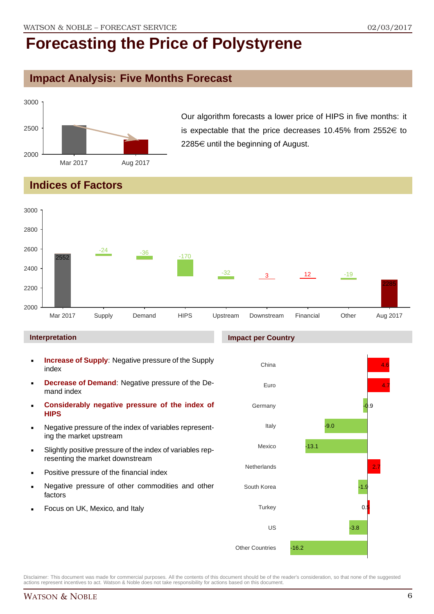### **Impact Analysis: Five Months Forecast**



Our algorithm forecasts a lower price of HIPS in five months: it is expectable that the price decreases 10.45% from 2552 $\in$  to  $2285 \in \mathbb{C}$  until the beginning of August.

## **Indices of Factors**



#### **Interpretation**

- **Increase of Supply**: Negative pressure of the Supply index
- **Decrease of Demand**: Negative pressure of the Demand index
- **Considerably negative pressure of the index of HIPS**
- Negative pressure of the index of variables representing the market upstream
- Slightly positive pressure of the index of variables representing the market downstream
- Positive pressure of the financial index
- Negative pressure of other commodities and other factors
- Focus on UK, Mexico, and Italy

#### **Impact per Country**

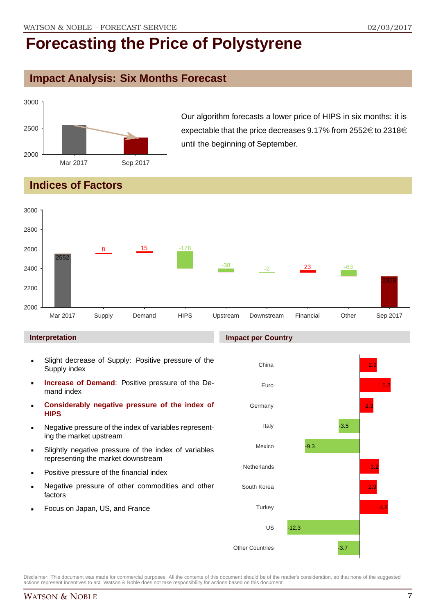## **Impact Analysis: Six Months Forecast**



Our algorithm forecasts a lower price of HIPS in six months: it is expectable that the price decreases 9.17% from 2552 $\in$  to 2318 $\in$ until the beginning of September.

## **Indices of Factors**



#### **Interpretation**

- Slight decrease of Supply: Positive pressure of the Supply index
- **Increase of Demand**: Positive pressure of the Demand index
- **Considerably negative pressure of the index of HIPS**
- Negative pressure of the index of variables representing the market upstream
- Slightly negative pressure of the index of variables representing the market downstream
- Positive pressure of the financial index
- Negative pressure of other commodities and other factors
- Focus on Japan, US, and France

#### **Impact per Country**

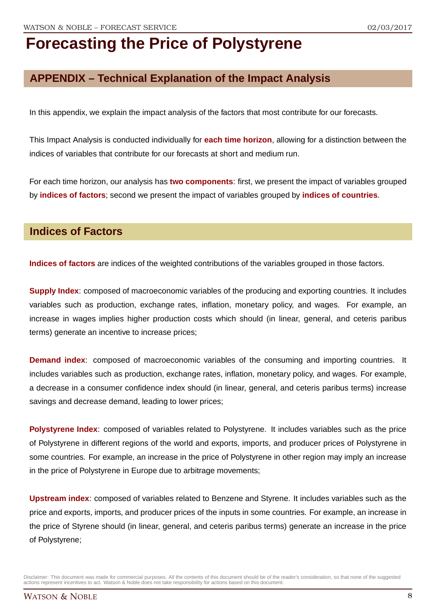## **APPENDIX – Technical Explanation of the Impact Analysis**

In this appendix, we explain the impact analysis of the factors that most contribute for our forecasts.

This Impact Analysis is conducted individually for **each time horizon**, allowing for a distinction between the indices of variables that contribute for our forecasts at short and medium run.

For each time horizon, our analysis has **two components**: first, we present the impact of variables grouped by **indices of factors**; second we present the impact of variables grouped by **indices of countries**.

### **Indices of Factors**

**Indices of factors** are indices of the weighted contributions of the variables grouped in those factors.

**Supply Index**: composed of macroeconomic variables of the producing and exporting countries. It includes variables such as production, exchange rates, inflation, monetary policy, and wages. For example, an increase in wages implies higher production costs which should (in linear, general, and ceteris paribus terms) generate an incentive to increase prices;

**Demand index**: composed of macroeconomic variables of the consuming and importing countries. It includes variables such as production, exchange rates, inflation, monetary policy, and wages. For example, a decrease in a consumer confidence index should (in linear, general, and ceteris paribus terms) increase savings and decrease demand, leading to lower prices;

**Polystyrene Index**: composed of variables related to Polystyrene. It includes variables such as the price of Polystyrene in different regions of the world and exports, imports, and producer prices of Polystyrene in some countries. For example, an increase in the price of Polystyrene in other region may imply an increase in the price of Polystyrene in Europe due to arbitrage movements;

**Upstream index**: composed of variables related to Benzene and Styrene. It includes variables such as the price and exports, imports, and producer prices of the inputs in some countries. For example, an increase in the price of Styrene should (in linear, general, and ceteris paribus terms) generate an increase in the price of Polystyrene;